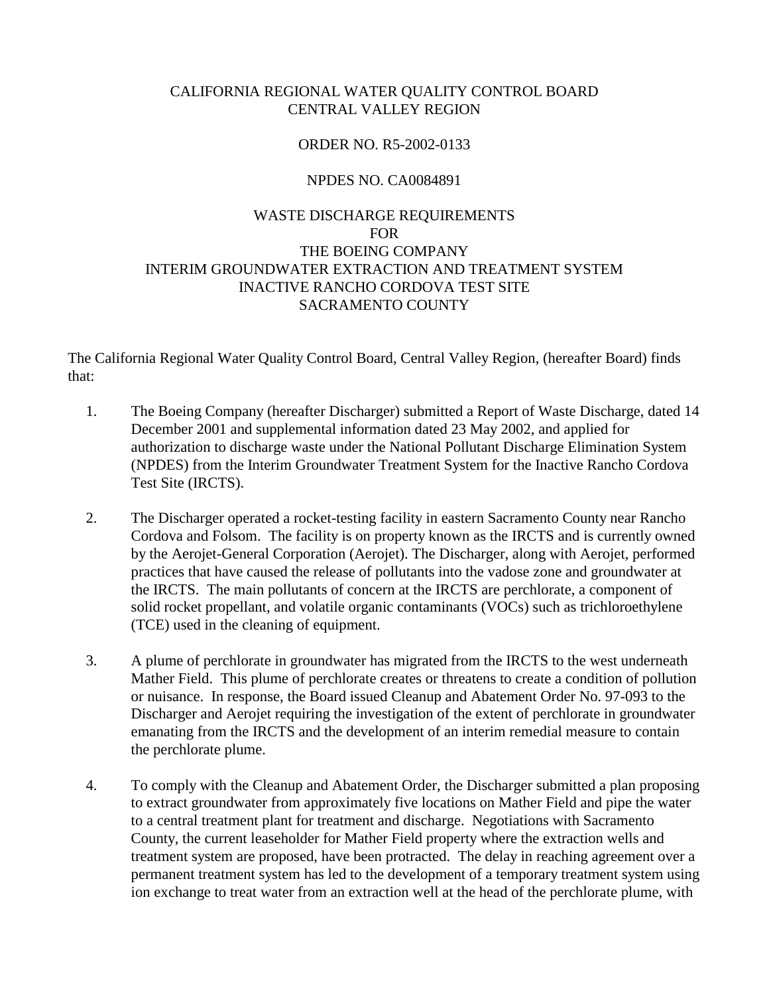# CALIFORNIA REGIONAL WATER QUALITY CONTROL BOARD CENTRAL VALLEY REGION

# ORDER NO. R5-2002-0133

### NPDES NO. CA0084891

# WASTE DISCHARGE REQUIREMENTS FOR THE BOEING COMPANY INTERIM GROUNDWATER EXTRACTION AND TREATMENT SYSTEM INACTIVE RANCHO CORDOVA TEST SITE SACRAMENTO COUNTY

The California Regional Water Quality Control Board, Central Valley Region, (hereafter Board) finds that:

- 1. The Boeing Company (hereafter Discharger) submitted a Report of Waste Discharge, dated 14 December 2001 and supplemental information dated 23 May 2002, and applied for authorization to discharge waste under the National Pollutant Discharge Elimination System (NPDES) from the Interim Groundwater Treatment System for the Inactive Rancho Cordova Test Site (IRCTS).
- 2. The Discharger operated a rocket-testing facility in eastern Sacramento County near Rancho Cordova and Folsom. The facility is on property known as the IRCTS and is currently owned by the Aerojet-General Corporation (Aerojet). The Discharger, along with Aerojet, performed practices that have caused the release of pollutants into the vadose zone and groundwater at the IRCTS. The main pollutants of concern at the IRCTS are perchlorate, a component of solid rocket propellant, and volatile organic contaminants (VOCs) such as trichloroethylene (TCE) used in the cleaning of equipment.
- 3. A plume of perchlorate in groundwater has migrated from the IRCTS to the west underneath Mather Field. This plume of perchlorate creates or threatens to create a condition of pollution or nuisance. In response, the Board issued Cleanup and Abatement Order No. 97-093 to the Discharger and Aerojet requiring the investigation of the extent of perchlorate in groundwater emanating from the IRCTS and the development of an interim remedial measure to contain the perchlorate plume.
- 4. To comply with the Cleanup and Abatement Order, the Discharger submitted a plan proposing to extract groundwater from approximately five locations on Mather Field and pipe the water to a central treatment plant for treatment and discharge. Negotiations with Sacramento County, the current leaseholder for Mather Field property where the extraction wells and treatment system are proposed, have been protracted. The delay in reaching agreement over a permanent treatment system has led to the development of a temporary treatment system using ion exchange to treat water from an extraction well at the head of the perchlorate plume, with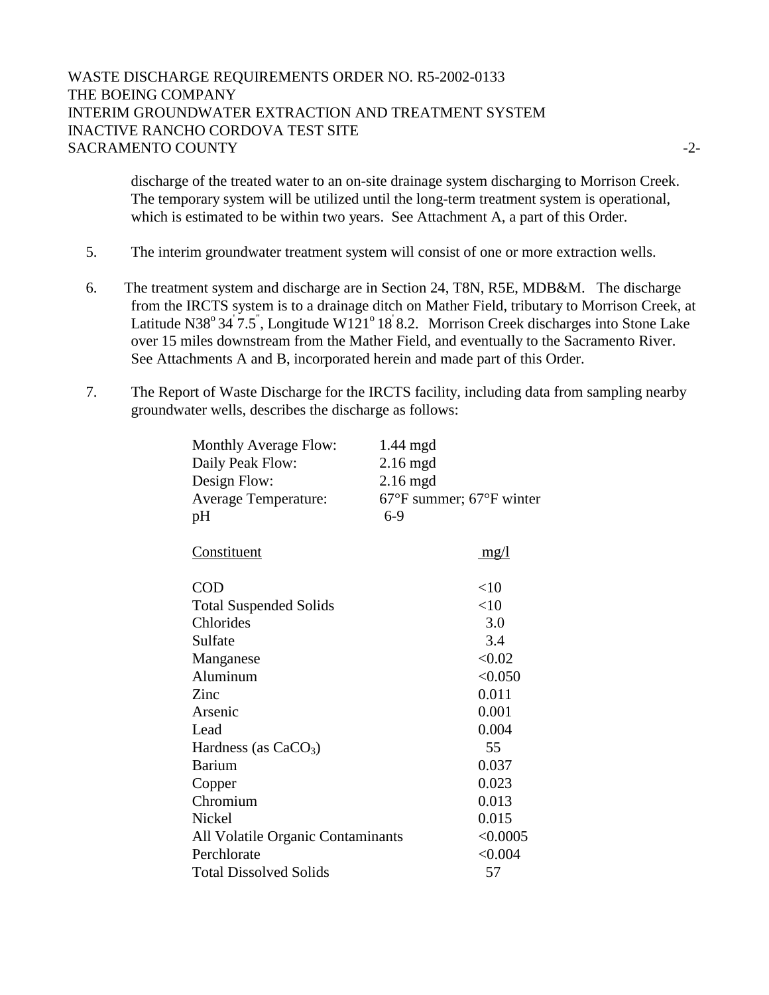# WASTE DISCHARGE REQUIREMENTS ORDER NO. R5-2002-0133 THE BOEING COMPANY INTERIM GROUNDWATER EXTRACTION AND TREATMENT SYSTEM INACTIVE RANCHO CORDOVA TEST SITE SACRAMENTO COUNTY  $\overline{2}$ -2-

discharge of the treated water to an on-site drainage system discharging to Morrison Creek. The temporary system will be utilized until the long-term treatment system is operational, which is estimated to be within two years. See Attachment A, a part of this Order.

- 5. The interim groundwater treatment system will consist of one or more extraction wells.
- 6. The treatment system and discharge are in Section 24, T8N, R5E, MDB&M. The discharge from the IRCTS system is to a drainage ditch on Mather Field, tributary to Morrison Creek, at Latitude N38° 34 $\dot{7}$ .5", Longitude W121° 18' 8.2. Morrison Creek discharges into Stone Lake over 15 miles downstream from the Mather Field, and eventually to the Sacramento River. See Attachments A and B, incorporated herein and made part of this Order.
- 7. The Report of Waste Discharge for the IRCTS facility, including data from sampling nearby groundwater wells, describes the discharge as follows:

| <b>Monthly Average Flow:</b><br>Daily Peak Flow:<br>Design Flow:<br><b>Average Temperature:</b><br>pH | 1.44 mgd<br>$2.16$ mgd<br>$2.16$ mgd<br>$67^{\circ}$ F summer; $67^{\circ}$ F winter<br>$6-9$ |
|-------------------------------------------------------------------------------------------------------|-----------------------------------------------------------------------------------------------|
| Constituent                                                                                           | mg/l                                                                                          |
| <b>COD</b>                                                                                            | <10                                                                                           |
| <b>Total Suspended Solids</b>                                                                         | <10                                                                                           |
| Chlorides                                                                                             | 3.0                                                                                           |
| Sulfate                                                                                               | 3.4                                                                                           |
| Manganese                                                                                             | < 0.02                                                                                        |
| Aluminum                                                                                              | < 0.050                                                                                       |
| Zinc                                                                                                  | 0.011                                                                                         |
| Arsenic                                                                                               | 0.001                                                                                         |
| Lead                                                                                                  | 0.004                                                                                         |
| Hardness (as $CaCO3$ )                                                                                | 55                                                                                            |
| Barium                                                                                                | 0.037                                                                                         |
| Copper                                                                                                | 0.023                                                                                         |
| Chromium                                                                                              | 0.013                                                                                         |
| Nickel                                                                                                | 0.015                                                                                         |
| All Volatile Organic Contaminants                                                                     | < 0.0005                                                                                      |
| Perchlorate                                                                                           | < 0.004                                                                                       |
| <b>Total Dissolved Solids</b>                                                                         | 57                                                                                            |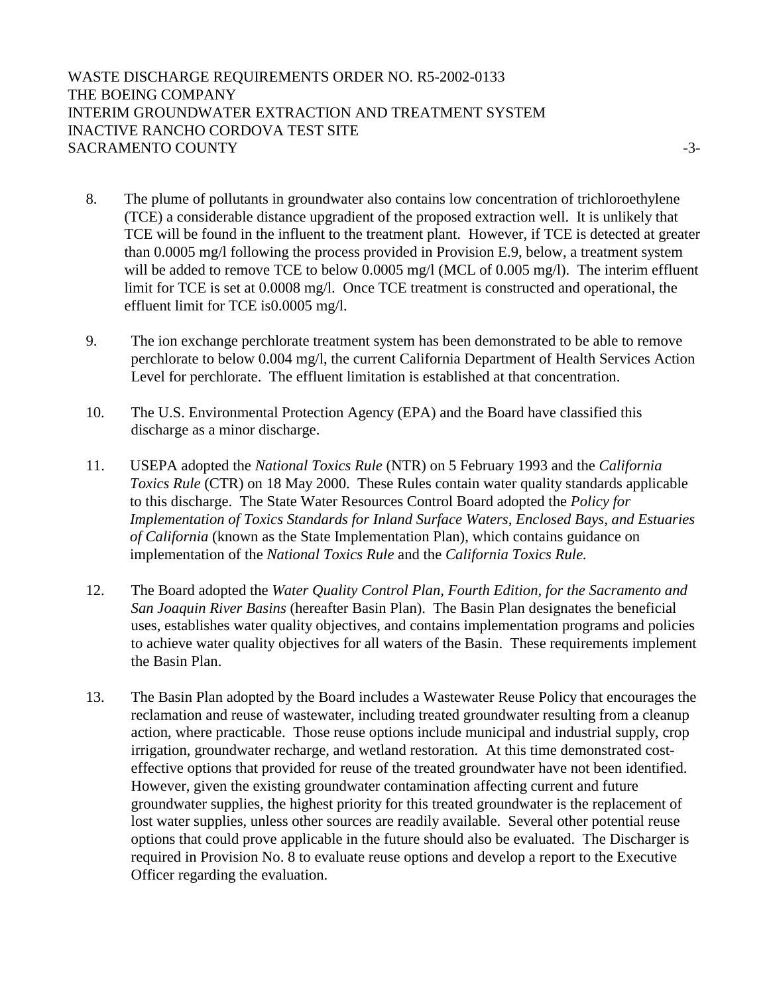WASTE DISCHARGE REQUIREMENTS ORDER NO. R5-2002-0133 THE BOEING COMPANY INTERIM GROUNDWATER EXTRACTION AND TREATMENT SYSTEM INACTIVE RANCHO CORDOVA TEST SITE SACRAMENTO COUNTY  $\overline{3}$ -3-

- 8. The plume of pollutants in groundwater also contains low concentration of trichloroethylene (TCE) a considerable distance upgradient of the proposed extraction well. It is unlikely that TCE will be found in the influent to the treatment plant. However, if TCE is detected at greater than 0.0005 mg/l following the process provided in Provision E.9, below, a treatment system will be added to remove TCE to below 0.0005 mg/l (MCL of 0.005 mg/l). The interim effluent limit for TCE is set at 0.0008 mg/l. Once TCE treatment is constructed and operational, the effluent limit for TCE is0.0005 mg/l.
- 9. The ion exchange perchlorate treatment system has been demonstrated to be able to remove perchlorate to below 0.004 mg/l, the current California Department of Health Services Action Level for perchlorate. The effluent limitation is established at that concentration.
- 10. The U.S. Environmental Protection Agency (EPA) and the Board have classified this discharge as a minor discharge.
- 11. USEPA adopted the *National Toxics Rule* (NTR) on 5 February 1993 and the *California Toxics Rule* (CTR) on 18 May 2000. These Rules contain water quality standards applicable to this discharge. The State Water Resources Control Board adopted the *Policy for Implementation of Toxics Standards for Inland Surface Waters, Enclosed Bays, and Estuaries of California* (known as the State Implementation Plan), which contains guidance on implementation of the *National Toxics Rule* and the *California Toxics Rule.*
- 12. The Board adopted the *Water Quality Control Plan, Fourth Edition, for the Sacramento and San Joaquin River Basins* (hereafter Basin Plan). The Basin Plan designates the beneficial uses, establishes water quality objectives, and contains implementation programs and policies to achieve water quality objectives for all waters of the Basin. These requirements implement the Basin Plan.
- 13. The Basin Plan adopted by the Board includes a Wastewater Reuse Policy that encourages the reclamation and reuse of wastewater, including treated groundwater resulting from a cleanup action, where practicable. Those reuse options include municipal and industrial supply, crop irrigation, groundwater recharge, and wetland restoration. At this time demonstrated costeffective options that provided for reuse of the treated groundwater have not been identified. However, given the existing groundwater contamination affecting current and future groundwater supplies, the highest priority for this treated groundwater is the replacement of lost water supplies, unless other sources are readily available. Several other potential reuse options that could prove applicable in the future should also be evaluated. The Discharger is required in Provision No. 8 to evaluate reuse options and develop a report to the Executive Officer regarding the evaluation.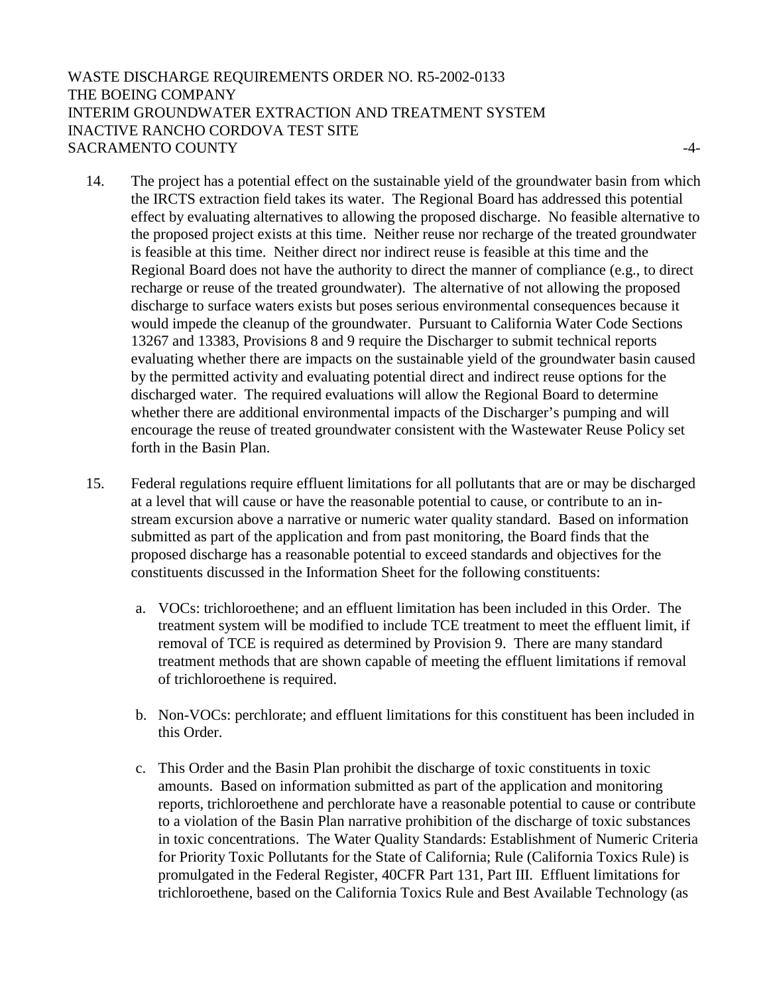# WASTE DISCHARGE REQUIREMENTS ORDER NO. R5-2002-0133 THE BOEING COMPANY INTERIM GROUNDWATER EXTRACTION AND TREATMENT SYSTEM INACTIVE RANCHO CORDOVA TEST SITE SACRAMENTO COUNTY  $\overline{4}$ -4-

- 14. The project has a potential effect on the sustainable yield of the groundwater basin from which the IRCTS extraction field takes its water. The Regional Board has addressed this potential effect by evaluating alternatives to allowing the proposed discharge. No feasible alternative to the proposed project exists at this time. Neither reuse nor recharge of the treated groundwater is feasible at this time. Neither direct nor indirect reuse is feasible at this time and the Regional Board does not have the authority to direct the manner of compliance (e.g., to direct recharge or reuse of the treated groundwater). The alternative of not allowing the proposed discharge to surface waters exists but poses serious environmental consequences because it would impede the cleanup of the groundwater. Pursuant to California Water Code Sections 13267 and 13383, Provisions 8 and 9 require the Discharger to submit technical reports evaluating whether there are impacts on the sustainable yield of the groundwater basin caused by the permitted activity and evaluating potential direct and indirect reuse options for the discharged water. The required evaluations will allow the Regional Board to determine whether there are additional environmental impacts of the Discharger's pumping and will encourage the reuse of treated groundwater consistent with the Wastewater Reuse Policy set forth in the Basin Plan.
- 15. Federal regulations require effluent limitations for all pollutants that are or may be discharged at a level that will cause or have the reasonable potential to cause, or contribute to an instream excursion above a narrative or numeric water quality standard. Based on information submitted as part of the application and from past monitoring, the Board finds that the proposed discharge has a reasonable potential to exceed standards and objectives for the constituents discussed in the Information Sheet for the following constituents:
	- a. VOCs: trichloroethene; and an effluent limitation has been included in this Order. The treatment system will be modified to include TCE treatment to meet the effluent limit, if removal of TCE is required as determined by Provision 9. There are many standard treatment methods that are shown capable of meeting the effluent limitations if removal of trichloroethene is required.
	- b. Non-VOCs: perchlorate; and effluent limitations for this constituent has been included in this Order.
	- c. This Order and the Basin Plan prohibit the discharge of toxic constituents in toxic amounts. Based on information submitted as part of the application and monitoring reports, trichloroethene and perchlorate have a reasonable potential to cause or contribute to a violation of the Basin Plan narrative prohibition of the discharge of toxic substances in toxic concentrations. The Water Quality Standards: Establishment of Numeric Criteria for Priority Toxic Pollutants for the State of California; Rule (California Toxics Rule) is promulgated in the Federal Register, 40CFR Part 131, Part III. Effluent limitations for trichloroethene, based on the California Toxics Rule and Best Available Technology (as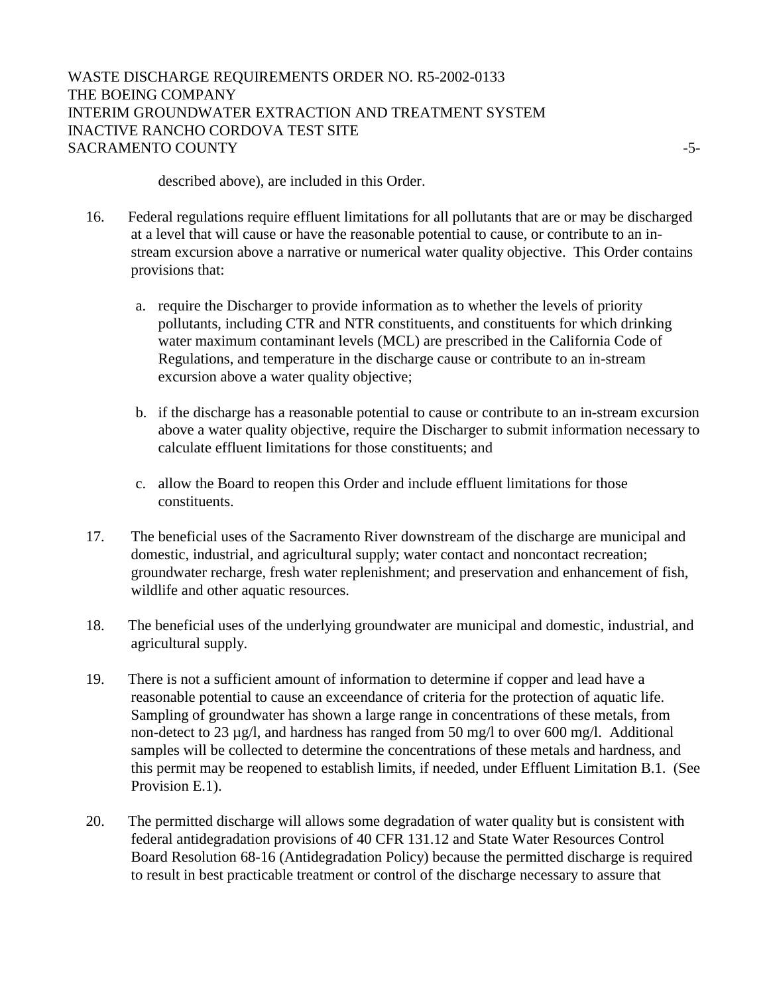# WASTE DISCHARGE REQUIREMENTS ORDER NO. R5-2002-0133 THE BOEING COMPANY INTERIM GROUNDWATER EXTRACTION AND TREATMENT SYSTEM INACTIVE RANCHO CORDOVA TEST SITE SACRAMENTO COUNTY FOR THE SERVICE OF SACRAMENTO COUNTY

described above), are included in this Order.

- 16. Federal regulations require effluent limitations for all pollutants that are or may be discharged at a level that will cause or have the reasonable potential to cause, or contribute to an instream excursion above a narrative or numerical water quality objective. This Order contains provisions that:
	- a. require the Discharger to provide information as to whether the levels of priority pollutants, including CTR and NTR constituents, and constituents for which drinking water maximum contaminant levels (MCL) are prescribed in the California Code of Regulations, and temperature in the discharge cause or contribute to an in-stream excursion above a water quality objective;
	- b. if the discharge has a reasonable potential to cause or contribute to an in-stream excursion above a water quality objective, require the Discharger to submit information necessary to calculate effluent limitations for those constituents; and
	- c. allow the Board to reopen this Order and include effluent limitations for those constituents.
- 17. The beneficial uses of the Sacramento River downstream of the discharge are municipal and domestic, industrial, and agricultural supply; water contact and noncontact recreation; groundwater recharge, fresh water replenishment; and preservation and enhancement of fish, wildlife and other aquatic resources.
- 18. The beneficial uses of the underlying groundwater are municipal and domestic, industrial, and agricultural supply.
- 19. There is not a sufficient amount of information to determine if copper and lead have a reasonable potential to cause an exceendance of criteria for the protection of aquatic life. Sampling of groundwater has shown a large range in concentrations of these metals, from non-detect to 23 µg/l, and hardness has ranged from 50 mg/l to over 600 mg/l. Additional samples will be collected to determine the concentrations of these metals and hardness, and this permit may be reopened to establish limits, if needed, under Effluent Limitation B.1. (See Provision E.1).
- 20. The permitted discharge will allows some degradation of water quality but is consistent with federal antidegradation provisions of 40 CFR 131.12 and State Water Resources Control Board Resolution 68-16 (Antidegradation Policy) because the permitted discharge is required to result in best practicable treatment or control of the discharge necessary to assure that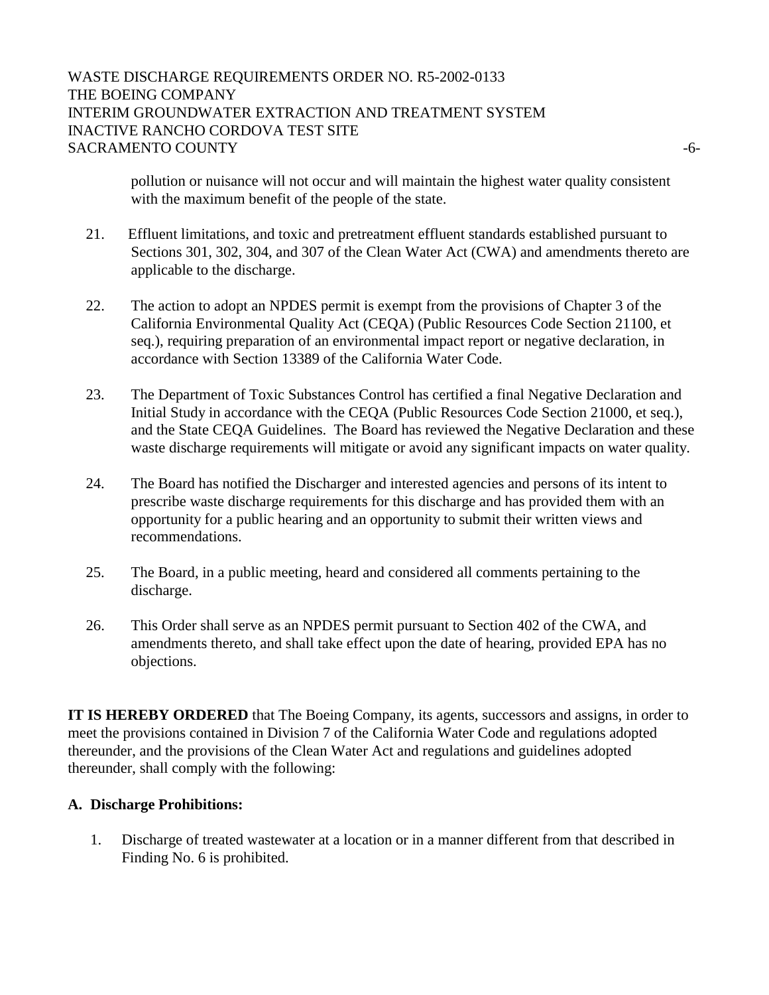# WASTE DISCHARGE REQUIREMENTS ORDER NO. R5-2002-0133 THE BOEING COMPANY INTERIM GROUNDWATER EXTRACTION AND TREATMENT SYSTEM INACTIVE RANCHO CORDOVA TEST SITE SACRAMENTO COUNTY  $-6$ -

pollution or nuisance will not occur and will maintain the highest water quality consistent with the maximum benefit of the people of the state.

- 21. Effluent limitations, and toxic and pretreatment effluent standards established pursuant to Sections 301, 302, 304, and 307 of the Clean Water Act (CWA) and amendments thereto are applicable to the discharge.
- 22. The action to adopt an NPDES permit is exempt from the provisions of Chapter 3 of the California Environmental Quality Act (CEQA) (Public Resources Code Section 21100, et seq.), requiring preparation of an environmental impact report or negative declaration, in accordance with Section 13389 of the California Water Code.
- 23. The Department of Toxic Substances Control has certified a final Negative Declaration and Initial Study in accordance with the CEQA (Public Resources Code Section 21000, et seq.), and the State CEQA Guidelines. The Board has reviewed the Negative Declaration and these waste discharge requirements will mitigate or avoid any significant impacts on water quality.
- 24. The Board has notified the Discharger and interested agencies and persons of its intent to prescribe waste discharge requirements for this discharge and has provided them with an opportunity for a public hearing and an opportunity to submit their written views and recommendations.
- 25. The Board, in a public meeting, heard and considered all comments pertaining to the discharge.
- 26. This Order shall serve as an NPDES permit pursuant to Section 402 of the CWA, and amendments thereto, and shall take effect upon the date of hearing, provided EPA has no objections.

**IT IS HEREBY ORDERED** that The Boeing Company, its agents, successors and assigns, in order to meet the provisions contained in Division 7 of the California Water Code and regulations adopted thereunder, and the provisions of the Clean Water Act and regulations and guidelines adopted thereunder, shall comply with the following:

### **A. Discharge Prohibitions:**

1. Discharge of treated wastewater at a location or in a manner different from that described in Finding No. 6 is prohibited.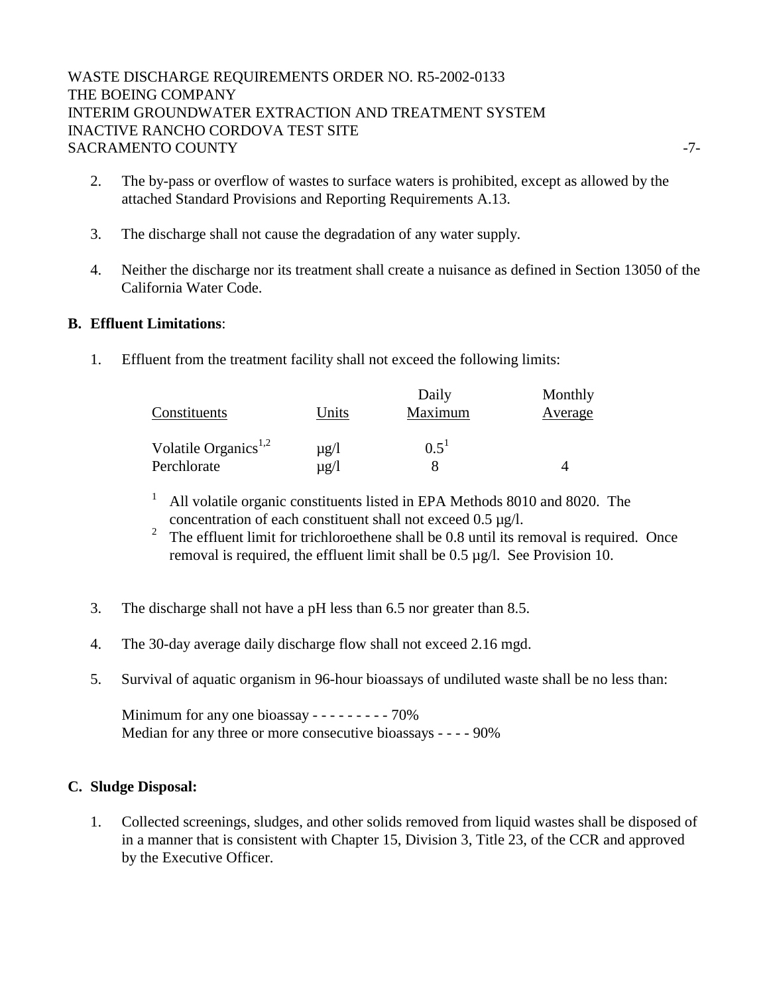# WASTE DISCHARGE REQUIREMENTS ORDER NO. R5-2002-0133 THE BOEING COMPANY INTERIM GROUNDWATER EXTRACTION AND TREATMENT SYSTEM INACTIVE RANCHO CORDOVA TEST SITE SACRAMENTO COUNTY FOR THE SERVICE OF THE SACRAMENTO COUNTY

- 2. The by-pass or overflow of wastes to surface waters is prohibited, except as allowed by the attached Standard Provisions and Reporting Requirements A.13.
- 3. The discharge shall not cause the degradation of any water supply.
- 4. Neither the discharge nor its treatment shall create a nuisance as defined in Section 13050 of the California Water Code.

### **B. Effluent Limitations**:

1. Effluent from the treatment facility shall not exceed the following limits:

|                                  |           | Daily   | Monthly |
|----------------------------------|-----------|---------|---------|
| Constituents                     | Units     | Maximum | Average |
| Volatile Organics <sup>1,2</sup> | $\mu$ g/l | $0.5^1$ |         |
| Perchlorate                      | µg/l      |         |         |

- <sup>1</sup> All volatile organic constituents listed in EPA Methods 8010 and 8020. The concentration of each constituent shall not exceed 0.5 µg/l.
- <sup>2</sup> The effluent limit for trichloroethene shall be 0.8 until its removal is required. Once removal is required, the effluent limit shall be 0.5 µg/l. See Provision 10.
- 3. The discharge shall not have a pH less than 6.5 nor greater than 8.5.
- 4. The 30-day average daily discharge flow shall not exceed 2.16 mgd.
- 5. Survival of aquatic organism in 96-hour bioassays of undiluted waste shall be no less than:

Minimum for any one bioassay - - - - - - - - - 70% Median for any three or more consecutive bioassays - - - - 90%

### **C. Sludge Disposal:**

1. Collected screenings, sludges, and other solids removed from liquid wastes shall be disposed of in a manner that is consistent with Chapter 15, Division 3, Title 23, of the CCR and approved by the Executive Officer.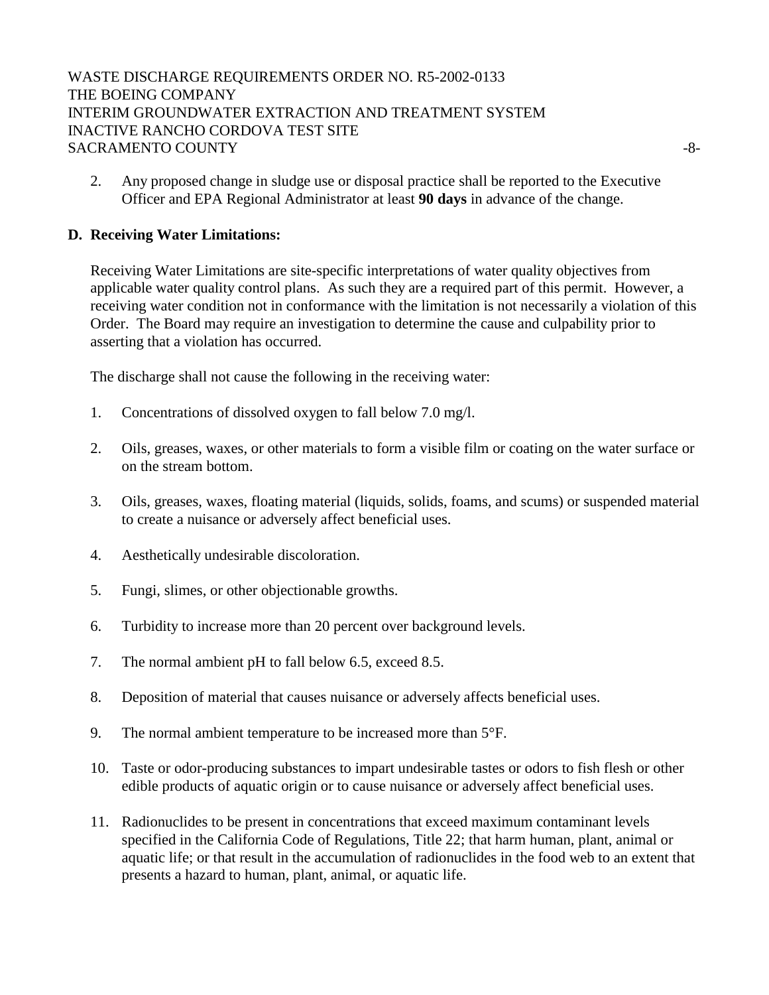WASTE DISCHARGE REQUIREMENTS ORDER NO. R5-2002-0133 THE BOEING COMPANY INTERIM GROUNDWATER EXTRACTION AND TREATMENT SYSTEM INACTIVE RANCHO CORDOVA TEST SITE SACRAMENTO COUNTY  $-8-$ 

2. Any proposed change in sludge use or disposal practice shall be reported to the Executive Officer and EPA Regional Administrator at least **90 days** in advance of the change.

# **D. Receiving Water Limitations:**

Receiving Water Limitations are site-specific interpretations of water quality objectives from applicable water quality control plans. As such they are a required part of this permit. However, a receiving water condition not in conformance with the limitation is not necessarily a violation of this Order. The Board may require an investigation to determine the cause and culpability prior to asserting that a violation has occurred.

The discharge shall not cause the following in the receiving water:

- 1. Concentrations of dissolved oxygen to fall below 7.0 mg/l.
- 2. Oils, greases, waxes, or other materials to form a visible film or coating on the water surface or on the stream bottom.
- 3. Oils, greases, waxes, floating material (liquids, solids, foams, and scums) or suspended material to create a nuisance or adversely affect beneficial uses.
- 4. Aesthetically undesirable discoloration.
- 5. Fungi, slimes, or other objectionable growths.
- 6. Turbidity to increase more than 20 percent over background levels.
- 7. The normal ambient pH to fall below 6.5, exceed 8.5.
- 8. Deposition of material that causes nuisance or adversely affects beneficial uses.
- 9. The normal ambient temperature to be increased more than 5°F.
- 10. Taste or odor-producing substances to impart undesirable tastes or odors to fish flesh or other edible products of aquatic origin or to cause nuisance or adversely affect beneficial uses.
- 11. Radionuclides to be present in concentrations that exceed maximum contaminant levels specified in the California Code of Regulations, Title 22; that harm human, plant, animal or aquatic life; or that result in the accumulation of radionuclides in the food web to an extent that presents a hazard to human, plant, animal, or aquatic life.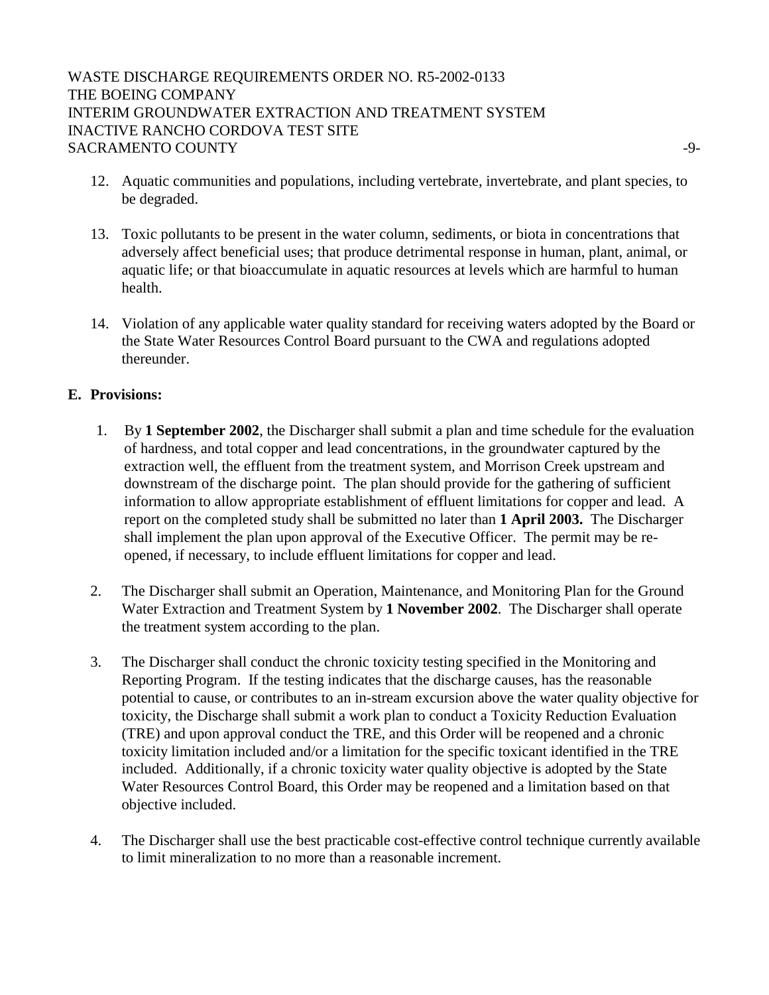WASTE DISCHARGE REQUIREMENTS ORDER NO. R5-2002-0133 THE BOEING COMPANY INTERIM GROUNDWATER EXTRACTION AND TREATMENT SYSTEM INACTIVE RANCHO CORDOVA TEST SITE SACRAMENTO COUNTY  $\sim$ 

- 12. Aquatic communities and populations, including vertebrate, invertebrate, and plant species, to be degraded.
- 13. Toxic pollutants to be present in the water column, sediments, or biota in concentrations that adversely affect beneficial uses; that produce detrimental response in human, plant, animal, or aquatic life; or that bioaccumulate in aquatic resources at levels which are harmful to human health.
- 14. Violation of any applicable water quality standard for receiving waters adopted by the Board or the State Water Resources Control Board pursuant to the CWA and regulations adopted thereunder.

# **E. Provisions:**

- 1. By **1 September 2002**, the Discharger shall submit a plan and time schedule for the evaluation of hardness, and total copper and lead concentrations, in the groundwater captured by the extraction well, the effluent from the treatment system, and Morrison Creek upstream and downstream of the discharge point. The plan should provide for the gathering of sufficient information to allow appropriate establishment of effluent limitations for copper and lead. A report on the completed study shall be submitted no later than **1 April 2003.** The Discharger shall implement the plan upon approval of the Executive Officer. The permit may be reopened, if necessary, to include effluent limitations for copper and lead.
- 2. The Discharger shall submit an Operation, Maintenance, and Monitoring Plan for the Ground Water Extraction and Treatment System by **1 November 2002**. The Discharger shall operate the treatment system according to the plan.
- 3. The Discharger shall conduct the chronic toxicity testing specified in the Monitoring and Reporting Program. If the testing indicates that the discharge causes, has the reasonable potential to cause, or contributes to an in-stream excursion above the water quality objective for toxicity, the Discharge shall submit a work plan to conduct a Toxicity Reduction Evaluation (TRE) and upon approval conduct the TRE, and this Order will be reopened and a chronic toxicity limitation included and/or a limitation for the specific toxicant identified in the TRE included. Additionally, if a chronic toxicity water quality objective is adopted by the State Water Resources Control Board, this Order may be reopened and a limitation based on that objective included.
- 4. The Discharger shall use the best practicable cost-effective control technique currently available to limit mineralization to no more than a reasonable increment.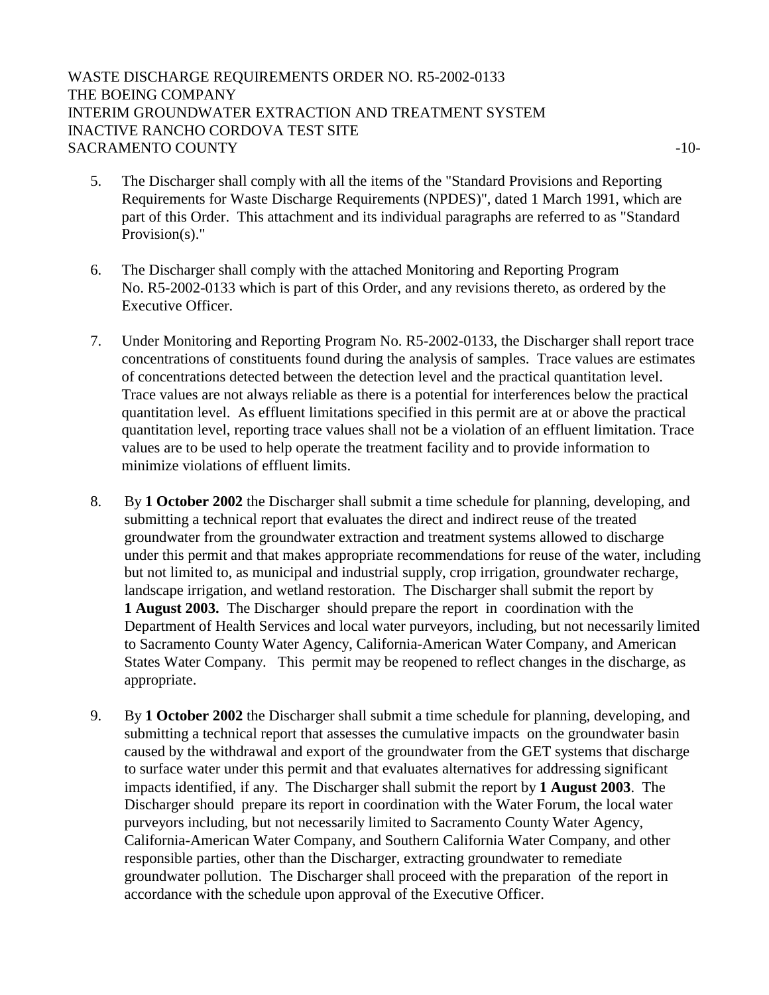# WASTE DISCHARGE REQUIREMENTS ORDER NO. R5-2002-0133 THE BOEING COMPANY INTERIM GROUNDWATER EXTRACTION AND TREATMENT SYSTEM INACTIVE RANCHO CORDOVA TEST SITE SACRAMENTO COUNTY  $-10$

- 5. The Discharger shall comply with all the items of the "Standard Provisions and Reporting Requirements for Waste Discharge Requirements (NPDES)", dated 1 March 1991, which are part of this Order. This attachment and its individual paragraphs are referred to as "Standard Provision(s)."
- 6. The Discharger shall comply with the attached Monitoring and Reporting Program No. R5-2002-0133 which is part of this Order, and any revisions thereto, as ordered by the Executive Officer.
- 7. Under Monitoring and Reporting Program No. R5-2002-0133, the Discharger shall report trace concentrations of constituents found during the analysis of samples. Trace values are estimates of concentrations detected between the detection level and the practical quantitation level. Trace values are not always reliable as there is a potential for interferences below the practical quantitation level. As effluent limitations specified in this permit are at or above the practical quantitation level, reporting trace values shall not be a violation of an effluent limitation. Trace values are to be used to help operate the treatment facility and to provide information to minimize violations of effluent limits.
- 8. By **1 October 2002** the Discharger shall submit a time schedule for planning, developing, and submitting a technical report that evaluates the direct and indirect reuse of the treated groundwater from the groundwater extraction and treatment systems allowed to discharge under this permit and that makes appropriate recommendations for reuse of the water, including but not limited to, as municipal and industrial supply, crop irrigation, groundwater recharge, landscape irrigation, and wetland restoration. The Discharger shall submit the report by **1 August 2003.** The Discharger should prepare the report in coordination with the Department of Health Services and local water purveyors, including, but not necessarily limited to Sacramento County Water Agency, California-American Water Company, and American States Water Company. This permit may be reopened to reflect changes in the discharge, as appropriate.
- 9. By **1 October 2002** the Discharger shall submit a time schedule for planning, developing, and submitting a technical report that assesses the cumulative impacts on the groundwater basin caused by the withdrawal and export of the groundwater from the GET systems that discharge to surface water under this permit and that evaluates alternatives for addressing significant impacts identified, if any. The Discharger shall submit the report by **1 August 2003**. The Discharger should prepare its report in coordination with the Water Forum, the local water purveyors including, but not necessarily limited to Sacramento County Water Agency, California-American Water Company, and Southern California Water Company, and other responsible parties, other than the Discharger, extracting groundwater to remediate groundwater pollution. The Discharger shall proceed with the preparation of the report in accordance with the schedule upon approval of the Executive Officer.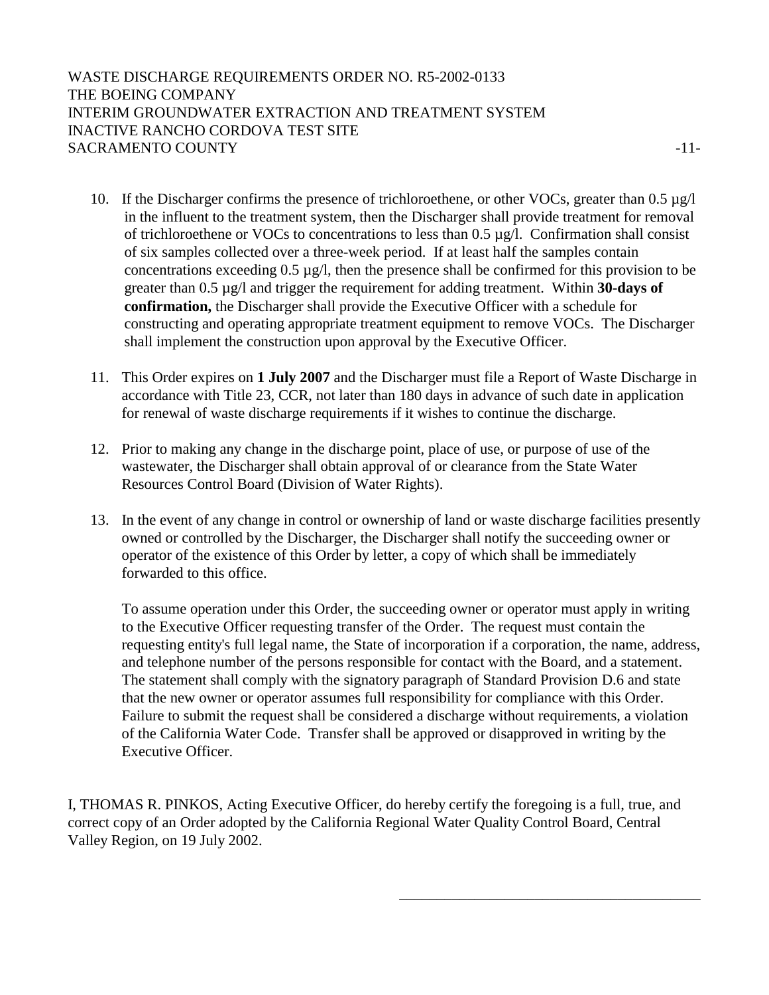WASTE DISCHARGE REQUIREMENTS ORDER NO. R5-2002-0133 THE BOEING COMPANY INTERIM GROUNDWATER EXTRACTION AND TREATMENT SYSTEM INACTIVE RANCHO CORDOVA TEST SITE SACRAMENTO COUNTY FOR A 11-

- 10. If the Discharger confirms the presence of trichloroethene, or other VOCs, greater than 0.5 µg/l in the influent to the treatment system, then the Discharger shall provide treatment for removal of trichloroethene or VOCs to concentrations to less than 0.5 µg/l. Confirmation shall consist of six samples collected over a three-week period. If at least half the samples contain concentrations exceeding 0.5 µg/l, then the presence shall be confirmed for this provision to be greater than 0.5 µg/l and trigger the requirement for adding treatment. Within **30-days of confirmation,** the Discharger shall provide the Executive Officer with a schedule for constructing and operating appropriate treatment equipment to remove VOCs. The Discharger shall implement the construction upon approval by the Executive Officer.
- 11. This Order expires on **1 July 2007** and the Discharger must file a Report of Waste Discharge in accordance with Title 23, CCR, not later than 180 days in advance of such date in application for renewal of waste discharge requirements if it wishes to continue the discharge.
- 12. Prior to making any change in the discharge point, place of use, or purpose of use of the wastewater, the Discharger shall obtain approval of or clearance from the State Water Resources Control Board (Division of Water Rights).
- 13. In the event of any change in control or ownership of land or waste discharge facilities presently owned or controlled by the Discharger, the Discharger shall notify the succeeding owner or operator of the existence of this Order by letter, a copy of which shall be immediately forwarded to this office.

To assume operation under this Order, the succeeding owner or operator must apply in writing to the Executive Officer requesting transfer of the Order. The request must contain the requesting entity's full legal name, the State of incorporation if a corporation, the name, address, and telephone number of the persons responsible for contact with the Board, and a statement. The statement shall comply with the signatory paragraph of Standard Provision D.6 and state that the new owner or operator assumes full responsibility for compliance with this Order. Failure to submit the request shall be considered a discharge without requirements, a violation of the California Water Code. Transfer shall be approved or disapproved in writing by the Executive Officer.

I, THOMAS R. PINKOS, Acting Executive Officer, do hereby certify the foregoing is a full, true, and correct copy of an Order adopted by the California Regional Water Quality Control Board, Central Valley Region, on 19 July 2002.

 $\overline{\phantom{a}}$  , which is a set of the contract of the contract of the contract of the contract of the contract of the contract of the contract of the contract of the contract of the contract of the contract of the contract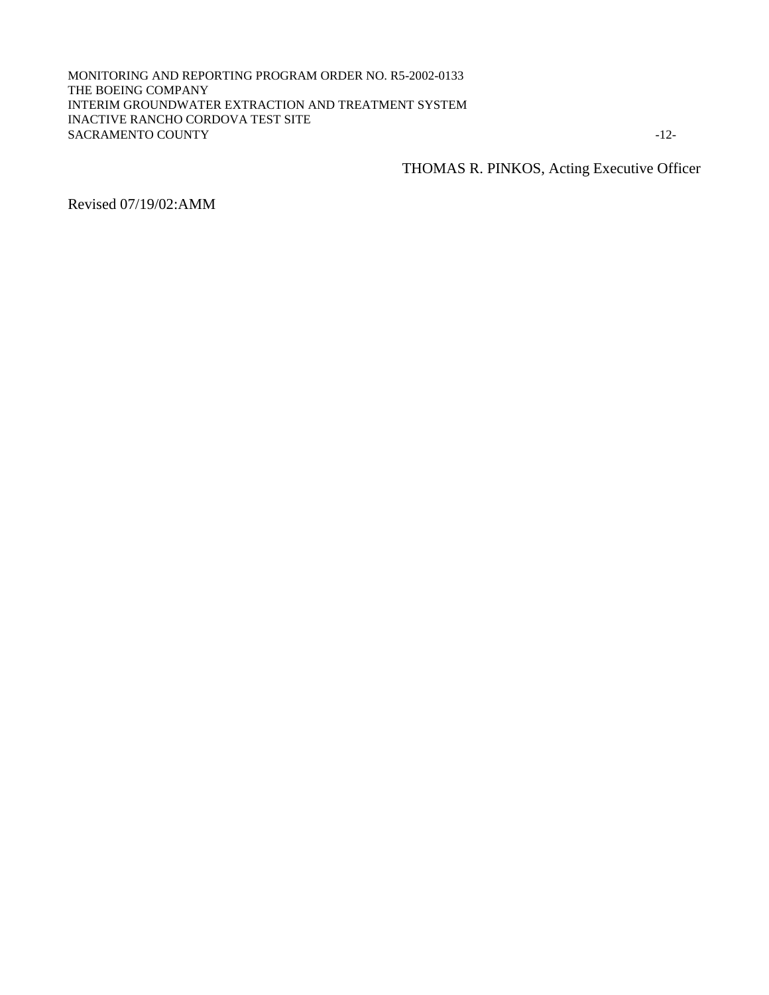#### MONITORING AND REPORTING PROGRAM ORDER NO. R5-2002-0133 THE BOEING COMPANY INTERIM GROUNDWATER EXTRACTION AND TREATMENT SYSTEM INACTIVE RANCHO CORDOVA TEST SITE SACRAMENTO COUNTY -12-

THOMAS R. PINKOS, Acting Executive Officer

Revised 07/19/02:AMM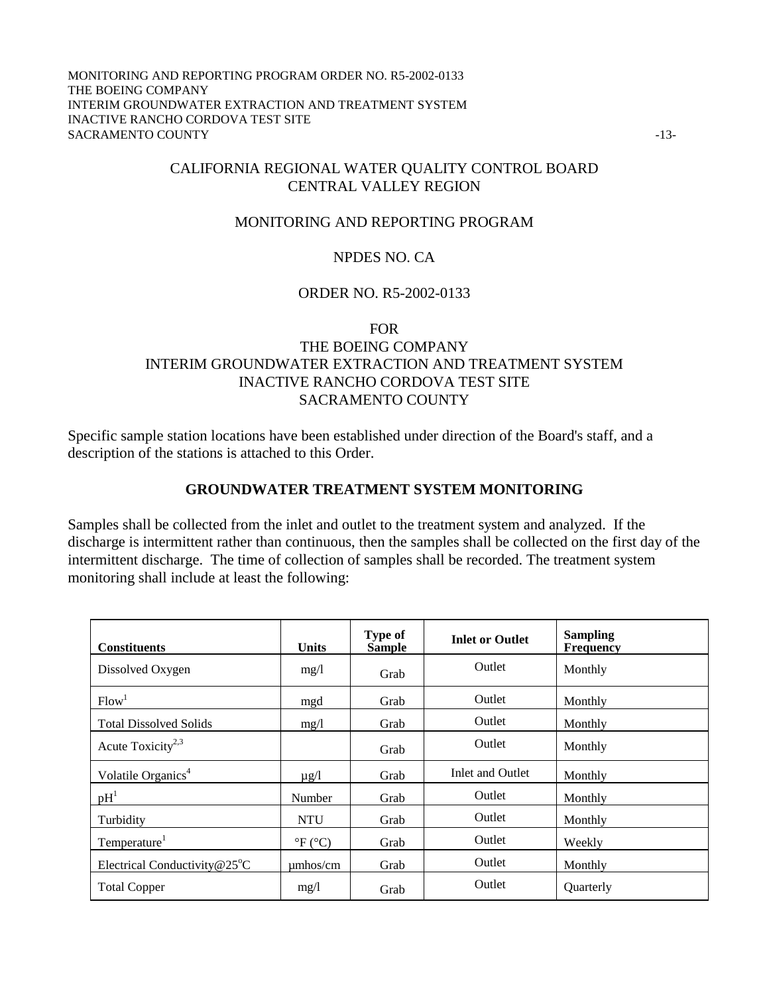#### MONITORING AND REPORTING PROGRAM ORDER NO. R5-2002-0133 THE BOEING COMPANY INTERIM GROUNDWATER EXTRACTION AND TREATMENT SYSTEM INACTIVE RANCHO CORDOVA TEST SITE SACRAMENTO COUNTY  $-13$

# CALIFORNIA REGIONAL WATER QUALITY CONTROL BOARD CENTRAL VALLEY REGION

### MONITORING AND REPORTING PROGRAM

### NPDES NO. CA

### ORDER NO. R5-2002-0133

### FOR

# THE BOEING COMPANY INTERIM GROUNDWATER EXTRACTION AND TREATMENT SYSTEM INACTIVE RANCHO CORDOVA TEST SITE SACRAMENTO COUNTY

Specific sample station locations have been established under direction of the Board's staff, and a description of the stations is attached to this Order.

### **GROUNDWATER TREATMENT SYSTEM MONITORING**

Samples shall be collected from the inlet and outlet to the treatment system and analyzed. If the discharge is intermittent rather than continuous, then the samples shall be collected on the first day of the intermittent discharge. The time of collection of samples shall be recorded. The treatment system monitoring shall include at least the following:

| <b>Constituents</b>                    | <b>Units</b>              | <b>Type of</b><br><b>Sample</b> | <b>Inlet or Outlet</b> | <b>Sampling</b><br><b>Frequency</b> |
|----------------------------------------|---------------------------|---------------------------------|------------------------|-------------------------------------|
| Dissolved Oxygen                       | mg/1                      | Grab                            | Outlet                 | Monthly                             |
| Flow <sup>1</sup>                      | mgd                       | Grab                            | Outlet                 | Monthly                             |
| <b>Total Dissolved Solids</b>          | mg/1                      | Grab                            | Outlet                 | Monthly                             |
| Acute Toxicity <sup>2,3</sup>          |                           | Grab                            | Outlet                 | Monthly                             |
| Volatile Organics <sup>4</sup>         | $\mu$ g/l                 | Grab                            | Inlet and Outlet       | Monthly                             |
| pH <sup>1</sup>                        | Number                    | Grab                            | <b>Outlet</b>          | Monthly                             |
| Turbidity                              | <b>NTU</b>                | Grab                            | Outlet                 | Monthly                             |
| Temperature <sup>1</sup>               | $\mathrm{P}F(\mathrm{C})$ | Grab                            | Outlet                 | Weekly                              |
| Electrical Conductivity $@25^{\circ}C$ | $\mu$ mhos/cm             | Grab                            | Outlet                 | Monthly                             |
| <b>Total Copper</b>                    | mg/1                      | Grab                            | Outlet                 | Quarterly                           |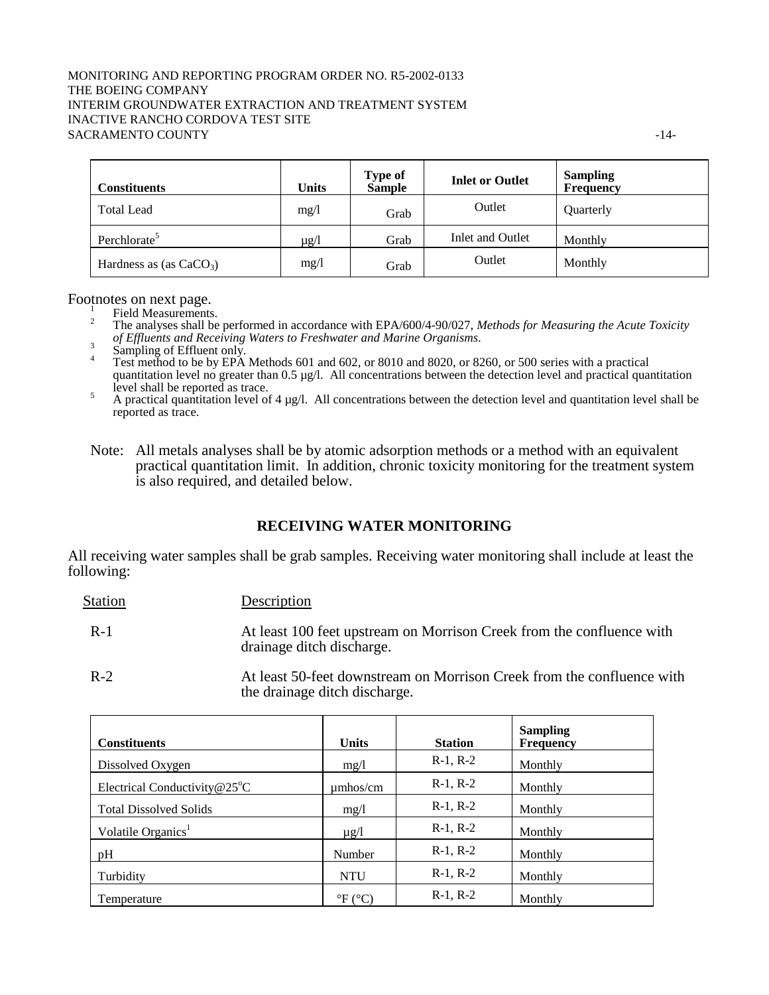#### MONITORING AND REPORTING PROGRAM ORDER NO. R5-2002-0133 THE BOEING COMPANY INTERIM GROUNDWATER EXTRACTION AND TREATMENT SYSTEM INACTIVE RANCHO CORDOVA TEST SITE SACRAMENTO COUNTY FOR THE SERVICE OF THE SERVICE OF THE SERVICE OF THE SERVICE OF THE SERVICE OF THE SERVICE OF THE SERVICE OF THE SERVICE OF THE SERVICE OF THE SERVICE OF THE SERVICE OF THE SERVICE OF THE SERVICE OF THE S

| <b>Constituents</b>       | <b>Units</b> | <b>Type of</b><br><b>Sample</b> | <b>Inlet or Outlet</b> | <b>Sampling</b><br>Frequency |
|---------------------------|--------------|---------------------------------|------------------------|------------------------------|
| <b>Total Lead</b>         | mg/1         | Grab                            | Outlet                 | Quarterly                    |
| Perchlorate <sup>5</sup>  | $\mu$ g/l    | Grab                            | Inlet and Outlet       | Monthly                      |
| Hardness as (as $CaCO3$ ) | mg/1         | Grab                            | Outlet                 | Monthly                      |

Footnotes on next page.

Field Measurements.

2 The analyses shall be performed in accordance with EPA/600/4-90/027, *Methods for Measuring the Acute Toxicity*  of Effluents and Receiving Waters to Freshwater and Marine Organisms.<br><sup>3</sup> Sampling of Effluent only.<br><sup>4</sup> Sampling of Effluent only.

 Test method to be by EPA Methods 601 and 602, or 8010 and 8020, or 8260, or 500 series with a practical quantitation level no greater than 0.5 µg/l. All concentrations between the detection level and practical quantitation  $\frac{1}{5}$  level shall be reported as trace.

A practical quantitation level of  $4 \mu g/l$ . All concentrations between the detection level and quantitation level shall be reported as trace.

Note: All metals analyses shall be by atomic adsorption methods or a method with an equivalent practical quantitation limit. In addition, chronic toxicity monitoring for the treatment system is also required, and detailed below.

### **RECEIVING WATER MONITORING**

All receiving water samples shall be grab samples. Receiving water monitoring shall include at least the following:

| <b>Station</b> | Description                                                                                        |
|----------------|----------------------------------------------------------------------------------------------------|
| $R-1$          | At least 100 feet upstream on Morrison Creek from the confluence with<br>drainage ditch discharge. |
| $R-2$          | At least 50-feet downstream on Morrison Creek from the confluence with                             |

vnstream on Morrison Creek from the confluence with the drainage ditch discharge.

| <b>Constituents</b>                    | <b>Units</b>              | <b>Station</b> | <b>Sampling</b><br>Frequency |
|----------------------------------------|---------------------------|----------------|------------------------------|
| Dissolved Oxygen                       | mg/l                      | $R-1, R-2$     | Monthly                      |
| Electrical Conductivity $@25^{\circ}C$ | $\mu$ mhos/cm             | $R-1, R-2$     | Monthly                      |
| <b>Total Dissolved Solids</b>          | mg/1                      | $R-1, R-2$     | Monthly                      |
| Volatile Organics <sup>1</sup>         | $\mu$ g/l                 | $R-1, R-2$     | Monthly                      |
| pH                                     | Number                    | $R-1, R-2$     | Monthly                      |
| Turbidity                              | <b>NTU</b>                | $R-1, R-2$     | Monthly                      |
| Temperature                            | $\mathrm{P}F(\mathrm{C})$ | $R-1, R-2$     | Monthly                      |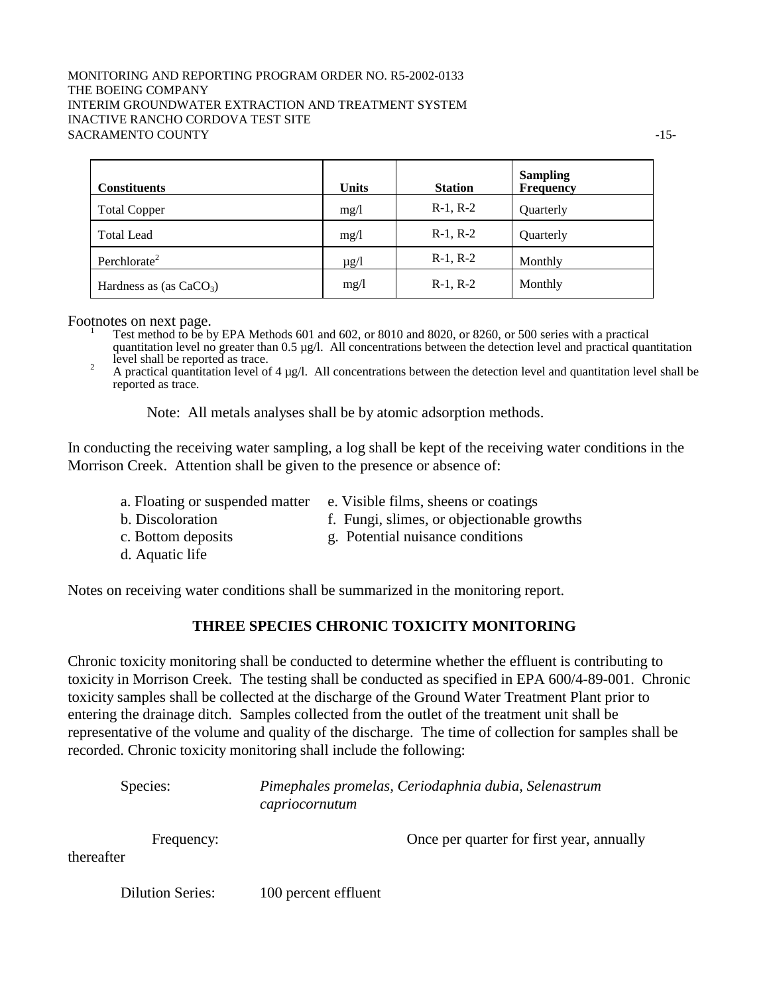### MONITORING AND REPORTING PROGRAM ORDER NO. R5-2002-0133 THE BOEING COMPANY INTERIM GROUNDWATER EXTRACTION AND TREATMENT SYSTEM INACTIVE RANCHO CORDOVA TEST SITE SACRAMENTO COUNTY  $\sim$  15-

| <b>Constituents</b>       | <b>Units</b> | <b>Station</b> | <b>Sampling</b><br>Frequency |
|---------------------------|--------------|----------------|------------------------------|
| <b>Total Copper</b>       | mg/1         | $R-1, R-2$     | Quarterly                    |
| <b>Total Lead</b>         | mg/l         | $R-1, R-2$     | Quarterly                    |
| Perchlorate <sup>2</sup>  | $\mu$ g/l    | $R-1, R-2$     | Monthly                      |
| Hardness as (as $CaCO3$ ) | mg/1         | $R-1, R-2$     | Monthly                      |

Footnotes on next page.

 Test method to be by EPA Methods 601 and 602, or 8010 and 8020, or 8260, or 500 series with a practical quantitation level no greater than 0.5 µg/l. All concentrations between the detection level and practical quantitation  $\frac{1}{2}$  level shall be reported as trace.

A practical quantitation level of  $4 \mu g/l$ . All concentrations between the detection level and quantitation level shall be reported as trace.

Note: All metals analyses shall be by atomic adsorption methods.

In conducting the receiving water sampling, a log shall be kept of the receiving water conditions in the Morrison Creek. Attention shall be given to the presence or absence of:

- a. Floating or suspended matter e. Visible films, sheens or coatings
- 
- b. Discoloration f. Fungi, slimes, or objectionable growths
- 
- c. Bottom deposits g. Potential nuisance conditions
- d. Aquatic life

Notes on receiving water conditions shall be summarized in the monitoring report.

### **THREE SPECIES CHRONIC TOXICITY MONITORING**

Chronic toxicity monitoring shall be conducted to determine whether the effluent is contributing to toxicity in Morrison Creek. The testing shall be conducted as specified in EPA 600/4-89-001. Chronic toxicity samples shall be collected at the discharge of the Ground Water Treatment Plant prior to entering the drainage ditch. Samples collected from the outlet of the treatment unit shall be representative of the volume and quality of the discharge. The time of collection for samples shall be recorded. Chronic toxicity monitoring shall include the following:

|            | Species:                | Pimephales promelas, Ceriodaphnia dubia, Selenastrum<br>capriocornutum |                                           |  |
|------------|-------------------------|------------------------------------------------------------------------|-------------------------------------------|--|
| thereafter | Frequency:              |                                                                        | Once per quarter for first year, annually |  |
|            | <b>Dilution Series:</b> | 100 percent effluent                                                   |                                           |  |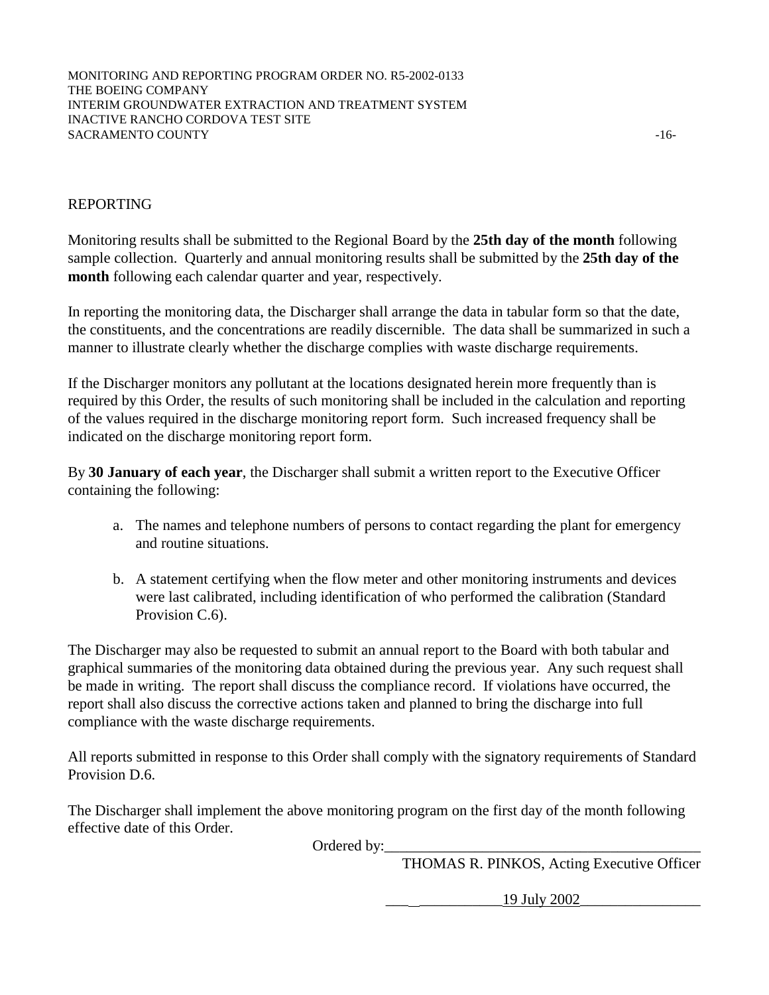MONITORING AND REPORTING PROGRAM ORDER NO. R5-2002-0133 THE BOEING COMPANY INTERIM GROUNDWATER EXTRACTION AND TREATMENT SYSTEM INACTIVE RANCHO CORDOVA TEST SITE SACRAMENTO COUNTY  $\sim$  16-

### REPORTING

Monitoring results shall be submitted to the Regional Board by the **25th day of the month** following sample collection. Quarterly and annual monitoring results shall be submitted by the **25th day of the month** following each calendar quarter and year, respectively.

In reporting the monitoring data, the Discharger shall arrange the data in tabular form so that the date, the constituents, and the concentrations are readily discernible. The data shall be summarized in such a manner to illustrate clearly whether the discharge complies with waste discharge requirements.

If the Discharger monitors any pollutant at the locations designated herein more frequently than is required by this Order, the results of such monitoring shall be included in the calculation and reporting of the values required in the discharge monitoring report form. Such increased frequency shall be indicated on the discharge monitoring report form.

By **30 January of each year**, the Discharger shall submit a written report to the Executive Officer containing the following:

- a. The names and telephone numbers of persons to contact regarding the plant for emergency and routine situations.
- b. A statement certifying when the flow meter and other monitoring instruments and devices were last calibrated, including identification of who performed the calibration (Standard Provision C.6).

The Discharger may also be requested to submit an annual report to the Board with both tabular and graphical summaries of the monitoring data obtained during the previous year. Any such request shall be made in writing. The report shall discuss the compliance record. If violations have occurred, the report shall also discuss the corrective actions taken and planned to bring the discharge into full compliance with the waste discharge requirements.

All reports submitted in response to this Order shall comply with the signatory requirements of Standard Provision D.6.

The Discharger shall implement the above monitoring program on the first day of the month following effective date of this Order.

Ordered by:

THOMAS R. PINKOS, Acting Executive Officer

\_\_\_ \_\_\_\_\_\_\_\_\_\_\_19 July 2002\_\_\_\_\_\_\_\_\_\_\_\_\_\_\_\_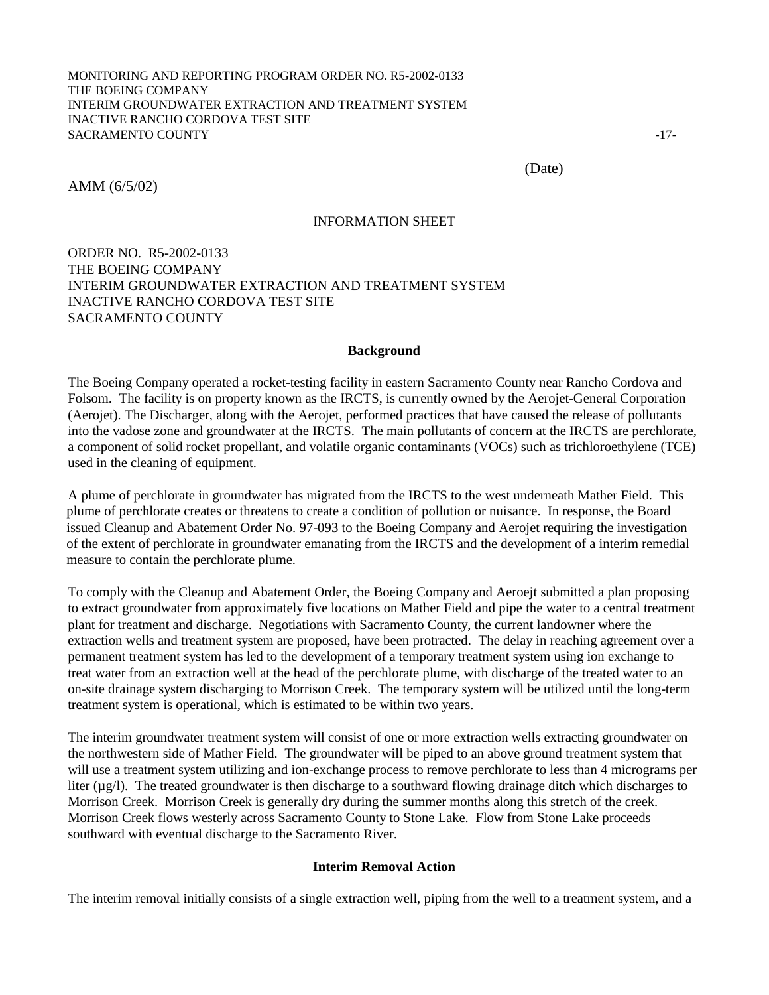(Date)

AMM (6/5/02)

### INFORMATION SHEET

### ORDER NO. R5-2002-0133 THE BOEING COMPANY INTERIM GROUNDWATER EXTRACTION AND TREATMENT SYSTEM INACTIVE RANCHO CORDOVA TEST SITE SACRAMENTO COUNTY

#### **Background**

The Boeing Company operated a rocket-testing facility in eastern Sacramento County near Rancho Cordova and Folsom. The facility is on property known as the IRCTS, is currently owned by the Aerojet-General Corporation (Aerojet). The Discharger, along with the Aerojet, performed practices that have caused the release of pollutants into the vadose zone and groundwater at the IRCTS. The main pollutants of concern at the IRCTS are perchlorate, a component of solid rocket propellant, and volatile organic contaminants (VOCs) such as trichloroethylene (TCE) used in the cleaning of equipment.

A plume of perchlorate in groundwater has migrated from the IRCTS to the west underneath Mather Field. This plume of perchlorate creates or threatens to create a condition of pollution or nuisance. In response, the Board issued Cleanup and Abatement Order No. 97-093 to the Boeing Company and Aerojet requiring the investigation of the extent of perchlorate in groundwater emanating from the IRCTS and the development of a interim remedial measure to contain the perchlorate plume.

To comply with the Cleanup and Abatement Order, the Boeing Company and Aeroejt submitted a plan proposing to extract groundwater from approximately five locations on Mather Field and pipe the water to a central treatment plant for treatment and discharge. Negotiations with Sacramento County, the current landowner where the extraction wells and treatment system are proposed, have been protracted. The delay in reaching agreement over a permanent treatment system has led to the development of a temporary treatment system using ion exchange to treat water from an extraction well at the head of the perchlorate plume, with discharge of the treated water to an on-site drainage system discharging to Morrison Creek. The temporary system will be utilized until the long-term treatment system is operational, which is estimated to be within two years.

The interim groundwater treatment system will consist of one or more extraction wells extracting groundwater on the northwestern side of Mather Field. The groundwater will be piped to an above ground treatment system that will use a treatment system utilizing and ion-exchange process to remove perchlorate to less than 4 micrograms per liter  $(\mu g/I)$ . The treated groundwater is then discharge to a southward flowing drainage ditch which discharges to Morrison Creek. Morrison Creek is generally dry during the summer months along this stretch of the creek. Morrison Creek flows westerly across Sacramento County to Stone Lake. Flow from Stone Lake proceeds southward with eventual discharge to the Sacramento River.

### **Interim Removal Action**

The interim removal initially consists of a single extraction well, piping from the well to a treatment system, and a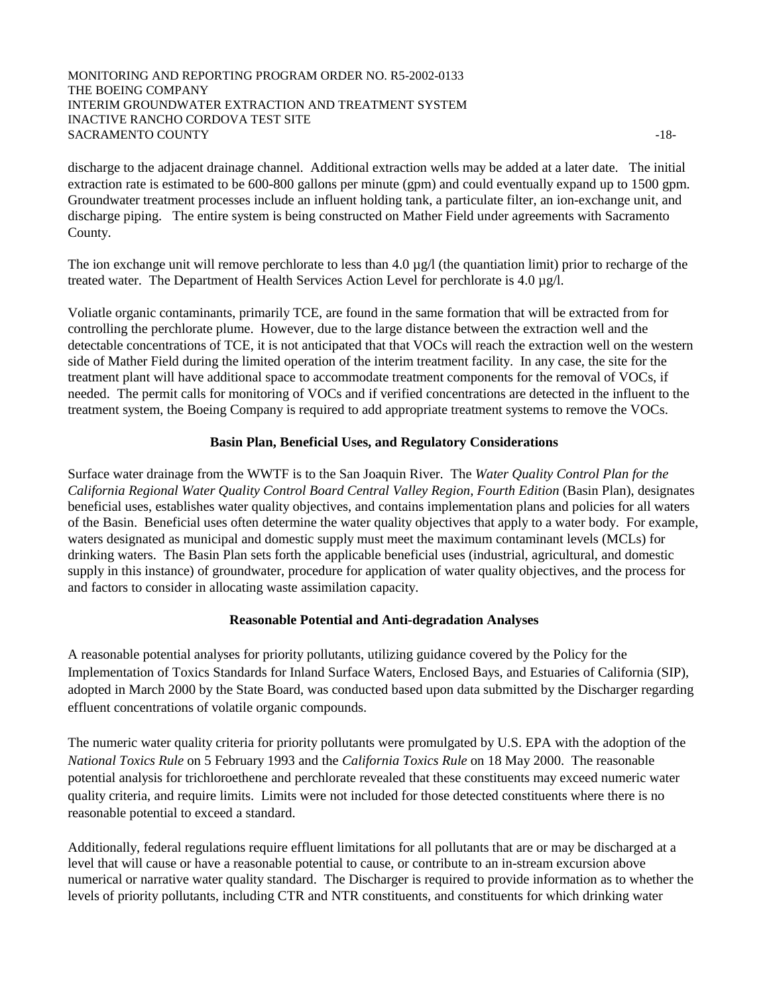#### MONITORING AND REPORTING PROGRAM ORDER NO. R5-2002-0133 THE BOEING COMPANY INTERIM GROUNDWATER EXTRACTION AND TREATMENT SYSTEM INACTIVE RANCHO CORDOVA TEST SITE SACRAMENTO COUNTY  $-18$

discharge to the adjacent drainage channel. Additional extraction wells may be added at a later date. The initial extraction rate is estimated to be 600-800 gallons per minute (gpm) and could eventually expand up to 1500 gpm. Groundwater treatment processes include an influent holding tank, a particulate filter, an ion-exchange unit, and discharge piping. The entire system is being constructed on Mather Field under agreements with Sacramento County.

The ion exchange unit will remove perchlorate to less than  $4.0 \mu\text{g}/\text{l}$  (the quantiation limit) prior to recharge of the treated water. The Department of Health Services Action Level for perchlorate is 4.0 µg/l.

Voliatle organic contaminants, primarily TCE, are found in the same formation that will be extracted from for controlling the perchlorate plume. However, due to the large distance between the extraction well and the detectable concentrations of TCE, it is not anticipated that that VOCs will reach the extraction well on the western side of Mather Field during the limited operation of the interim treatment facility. In any case, the site for the treatment plant will have additional space to accommodate treatment components for the removal of VOCs, if needed. The permit calls for monitoring of VOCs and if verified concentrations are detected in the influent to the treatment system, the Boeing Company is required to add appropriate treatment systems to remove the VOCs.

### **Basin Plan, Beneficial Uses, and Regulatory Considerations**

Surface water drainage from the WWTF is to the San Joaquin River. The *Water Quality Control Plan for the California Regional Water Quality Control Board Central Valley Region, Fourth Edition* (Basin Plan), designates beneficial uses, establishes water quality objectives, and contains implementation plans and policies for all waters of the Basin. Beneficial uses often determine the water quality objectives that apply to a water body. For example, waters designated as municipal and domestic supply must meet the maximum contaminant levels (MCLs) for drinking waters. The Basin Plan sets forth the applicable beneficial uses (industrial, agricultural, and domestic supply in this instance) of groundwater, procedure for application of water quality objectives, and the process for and factors to consider in allocating waste assimilation capacity.

### **Reasonable Potential and Anti-degradation Analyses**

A reasonable potential analyses for priority pollutants, utilizing guidance covered by the Policy for the Implementation of Toxics Standards for Inland Surface Waters, Enclosed Bays, and Estuaries of California (SIP), adopted in March 2000 by the State Board, was conducted based upon data submitted by the Discharger regarding effluent concentrations of volatile organic compounds.

The numeric water quality criteria for priority pollutants were promulgated by U.S. EPA with the adoption of the *National Toxics Rule* on 5 February 1993 and the *California Toxics Rule* on 18 May 2000. The reasonable potential analysis for trichloroethene and perchlorate revealed that these constituents may exceed numeric water quality criteria, and require limits. Limits were not included for those detected constituents where there is no reasonable potential to exceed a standard.

Additionally, federal regulations require effluent limitations for all pollutants that are or may be discharged at a level that will cause or have a reasonable potential to cause, or contribute to an in-stream excursion above numerical or narrative water quality standard. The Discharger is required to provide information as to whether the levels of priority pollutants, including CTR and NTR constituents, and constituents for which drinking water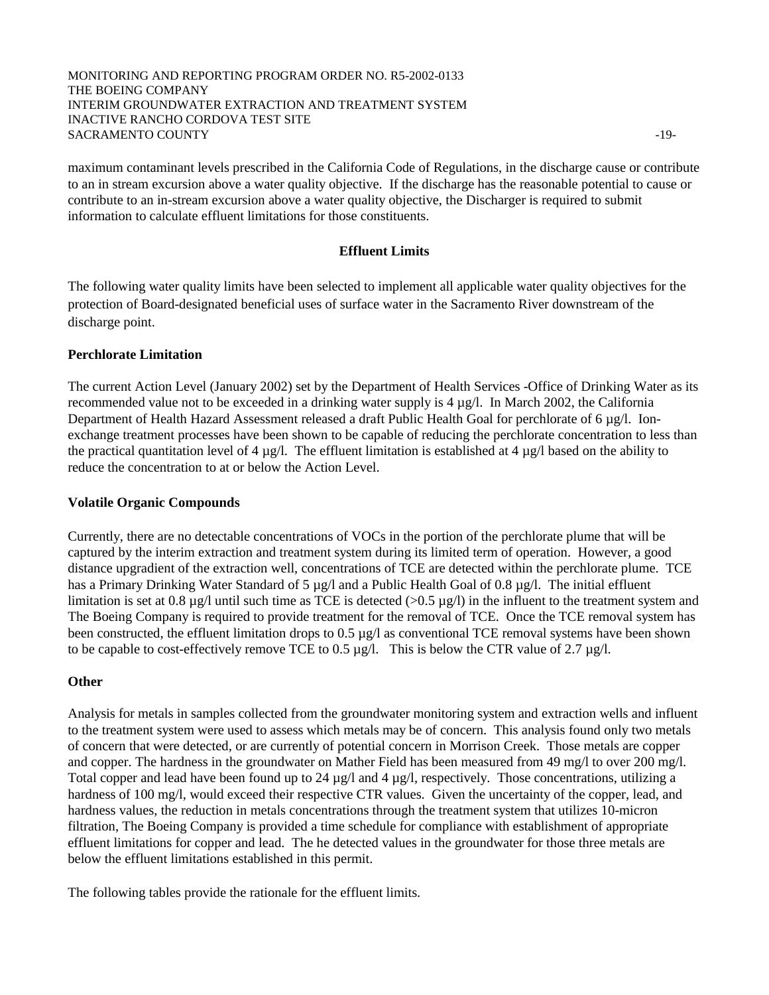#### MONITORING AND REPORTING PROGRAM ORDER NO. R5-2002-0133 THE BOEING COMPANY INTERIM GROUNDWATER EXTRACTION AND TREATMENT SYSTEM INACTIVE RANCHO CORDOVA TEST SITE SACRAMENTO COUNTY  $\sim$  19-

maximum contaminant levels prescribed in the California Code of Regulations, in the discharge cause or contribute to an in stream excursion above a water quality objective. If the discharge has the reasonable potential to cause or contribute to an in-stream excursion above a water quality objective, the Discharger is required to submit information to calculate effluent limitations for those constituents.

### **Effluent Limits**

The following water quality limits have been selected to implement all applicable water quality objectives for the protection of Board-designated beneficial uses of surface water in the Sacramento River downstream of the discharge point.

#### **Perchlorate Limitation**

The current Action Level (January 2002) set by the Department of Health Services -Office of Drinking Water as its recommended value not to be exceeded in a drinking water supply is  $4 \mu g/l$ . In March 2002, the California Department of Health Hazard Assessment released a draft Public Health Goal for perchlorate of 6 µg/l. Ionexchange treatment processes have been shown to be capable of reducing the perchlorate concentration to less than the practical quantitation level of 4  $\mu$ g/l. The effluent limitation is established at 4  $\mu$ g/l based on the ability to reduce the concentration to at or below the Action Level.

#### **Volatile Organic Compounds**

Currently, there are no detectable concentrations of VOCs in the portion of the perchlorate plume that will be captured by the interim extraction and treatment system during its limited term of operation. However, a good distance upgradient of the extraction well, concentrations of TCE are detected within the perchlorate plume. TCE has a Primary Drinking Water Standard of 5 µg/l and a Public Health Goal of 0.8 µg/l. The initial effluent limitation is set at 0.8  $\mu$ g/l until such time as TCE is detected (>0.5  $\mu$ g/l) in the influent to the treatment system and The Boeing Company is required to provide treatment for the removal of TCE. Once the TCE removal system has been constructed, the effluent limitation drops to 0.5 µg/l as conventional TCE removal systems have been shown to be capable to cost-effectively remove TCE to 0.5  $\mu$ g/l. This is below the CTR value of 2.7  $\mu$ g/l.

#### **Other**

Analysis for metals in samples collected from the groundwater monitoring system and extraction wells and influent to the treatment system were used to assess which metals may be of concern. This analysis found only two metals of concern that were detected, or are currently of potential concern in Morrison Creek. Those metals are copper and copper. The hardness in the groundwater on Mather Field has been measured from 49 mg/l to over 200 mg/l. Total copper and lead have been found up to 24  $\mu$ g/l and 4  $\mu$ g/l, respectively. Those concentrations, utilizing a hardness of 100 mg/l, would exceed their respective CTR values. Given the uncertainty of the copper, lead, and hardness values, the reduction in metals concentrations through the treatment system that utilizes 10-micron filtration, The Boeing Company is provided a time schedule for compliance with establishment of appropriate effluent limitations for copper and lead. The he detected values in the groundwater for those three metals are below the effluent limitations established in this permit.

The following tables provide the rationale for the effluent limits.